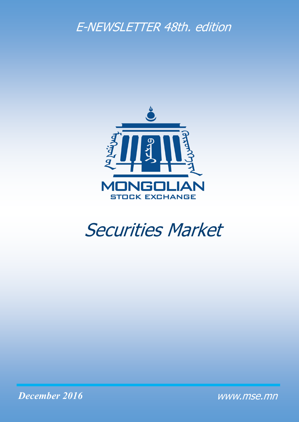# E-NEWSLETTER 48th. edition



# Securities Market

*December 2016*

www.mse.mn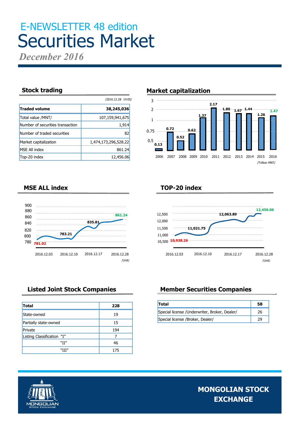# E-NEWSLETTER 48 edition Securities Market

*December 2016*

|                                  | /2016.12.28 14:05/   |
|----------------------------------|----------------------|
| <b>Traded volume</b>             | 38,245,036           |
| Total value /MNT/                | 107,159,941,675      |
| Number of securities transaction | 1,914                |
| Number of traded securities      | 82                   |
| Market capitalization            | 1,474,173,296,528.22 |
| <b>MSE All index</b>             | 861.24               |
| Top-20 index                     | 12,456.06            |

## **Stock trading**  Market capitalization



## **TOP-20 index**



# **MSE ALL index**



| <b>Total</b>               | 228 |
|----------------------------|-----|
| State-owned                | 19  |
| Partially state-owned      | 15  |
| Private                    | 194 |
| Listing Classification "I" |     |
| "II"                       | 46  |
| "III"                      | 175 |

# **Listed Joint Stock Companies Member Securities Companies**

| <b>Total</b>                                   | 58 |
|------------------------------------------------|----|
| Special license / Underwriter, Broker, Dealer/ | 26 |
| Special license /Broker, Dealer/               |    |

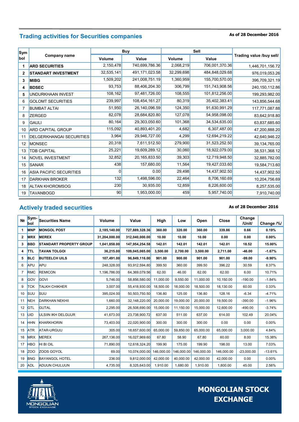# **As of 28 December 2016 Trading activities for Securities companies**

| Sym          |                                 |            | <b>Buy</b>     |            | Sell           |                          |
|--------------|---------------------------------|------------|----------------|------------|----------------|--------------------------|
| bol          | Company name                    | Volume     | Value          | Volume     | Value          | Trading value /buy sell/ |
| 1            | <b>ARD SECURITIES</b>           | 2,150,478  | 740,699,786.36 | 2,068,219  | 706,001,370.36 | 1,446,701,156.72         |
| $\mathbf{2}$ | <b>STANDART INVESTMENT</b>      | 32,535,141 | 491,171,023.58 | 32,299,698 | 484,848,029.68 | 976,019,053.26           |
| 3            | <b>MIBG</b>                     | 1,509,202  | 241,008,751.19 | 1,360,959  | 155,700,570.00 | 396,709,321.19           |
| 4            | <b>BDSEC</b>                    | 93,753     | 88,406,204.30  | 306,799    | 151,743,908.56 | 240, 150, 112.86         |
| 5            | UNDURKHAAN INVEST               | 108,162    | 97,481,726.00  | 108,555    | 101,812,256.00 | 199,293,982.00           |
| 6            | <b>GOLOMT SECURITIES</b>        | 239,997    | 108,454,161.27 | 80,319     | 35,402,383.41  | 143,856,544.68           |
| 7            | <b>BUMBAT ALTAI</b>             | 51,950     | 26,140,096.59  | 124,350    | 91,630,991.29  | 117,771,087.88           |
| 8            | <b>ZERGED</b>                   | 82,078     | 28,684,820.80  | 127,078    | 54,958,098.00  | 83,642,918.80            |
| 9            | <b>GAULI</b>                    | 80,164     | 29,303,050.60  | 101,368    | 34,534,635.00  | 63,837,685.60            |
| 10           | <b>ARD CAPITAL GROUP</b>        | 115,092    | 40,893,401.20  | 4,682      | 6,307,487.00   | 47,200,888.20            |
| 11           | <b>DELGERKHANGAI SECURITIES</b> | 3,964      | 29,946,727.00  | 4,299      | 12,694,219.22  | 42,640,946.22            |
| 12           | <b>MONSEC</b>                   | 20,318     | 7,611,512.50   | 279,900    | 31,523,252.50  | 39, 134, 765.00          |
| 13           | <b>TDB CAPITAL</b>              | 25,221     | 19,609,289.12  | 30,060     | 18,922,079.00  | 38,531,368.12            |
| 14           | NOVEL INVESTMENT                | 32,852     | 20,165,833.50  | 39,303     | 12,719,948.50  | 32,885,782.00            |
| 15           | <b>SANAR</b>                    | 438        | 157,680.00     | 11,564     | 19,427,033.60  | 19,584,713.60            |
| 16           | <b>ASIA PACIFIC SECURITIES</b>  | $\Omega$   | 0.00           | 29,498     | 14,437,902.50  | 14,437,902.50            |
| 17           | <b>DARKHAN BROKER</b>           | 132        | 1,498,596.00   | 22,464     | 8,706,160.69   | 10,204,756.69            |
| 18           | <b>ALTAN KHOROMSOG</b>          | 230        | 30,935.00      | 12,859     | 8,226,600.00   | 8,257,535.00             |
| 19           | <b>TAVANBOGD</b>                | 90         | 1,953,000.00   | 459        | 5,957,740.00   | 7,910,740.00             |

# **Actively traded securities**

### **As of 28 December 2016**

| N <sub>2</sub> | Sym-<br><b>bol</b> | <b>Securities Name</b>         | <b>Volume</b> | Value          | High       | Low        | Open       | Close      | Change<br>/Unit/ | Change /%/ |
|----------------|--------------------|--------------------------------|---------------|----------------|------------|------------|------------|------------|------------------|------------|
| 1              | <b>MNP</b>         | <b>MONGOL POST</b>             | 2,185,140.00  | 727,889,328.36 | 360.00     | 320.00     | 360.00     | 339.86     | 0.66             | 0.19%      |
| $\mathbf{2}$   | <b>MRX</b>         | <b>MEREX</b>                   | 31,204,000.00 | 312,040,000.00 | 10.00      | 10.00      | 10.00      | 0.00       | 0.00             | 0.00%      |
| 3              | <b>BBD</b>         | <b>STANDART PROPERTY GROUP</b> | 1,041,858.00  | 147,954,254.58 | 142.01     | 142.01     | 142.01     | 142.01     | 18.52            | 15.00%     |
| 4              | <b>TTL</b>         | <b>TAVAN TOLGOI</b>            | 36,215.00     | 109,045,065.00 | 3,500.00   | 2,700.00   | 3,500.00   | 2,711.00   | $-46.00$         | $-1.67%$   |
| 5              | <b>BLC</b>         | <b>BUTEELCH UILS</b>           | 107.491.00    | 96,849,116.00  | 901.00     | 900.00     | 901.00     | 901.00     | $-99.00$         | $-9.90\%$  |
| 6              | APU                | APU                            | 248.328.00    | 93,912,594.80  | 399.50     | 360.00     | 399.50     | 396.22     | 30.59            | 8.37%      |
| $\overline{7}$ | <b>RMC</b>         | <b>REMICON</b>                 | 1,196,786.00  | 64,369,079.56  | 62.00      | 46.00      | 62.00      | 62.00      | 6.00             | 10.71%     |
| 8              | GOV                | <b>GOVI</b>                    | 5.746.00      | 58,856,580.00  | 11,000.00  | 9,550.00   | 11,000.00  | 10,150.00  | $-190.00$        | $-1.84%$   |
| 9              | <b>TCK</b>         | <b>TALKH CHIKHER</b>           | 3,007.00      | 55,418,930.00  | 18,500.00  | 18,000.00  | 18,500.00  | 18,130.00  | 60.00            | 0.33%      |
| 10             | <b>SUU</b>         | <b>SUU</b>                     | 395.024.00    | 50,503,750.50  | 136.80     | 125.00     | 136.80     | 128.16     | $-6.34$          | $-4.71%$   |
| 11             | <b>NEH</b>         | <b>DARKHAN NEKHII</b>          | 1,660.00      | 32,148,220.00  | 20,000.00  | 19,000.00  | 20,000.00  | 19,500.00  | $-390.00$        | $-1.96%$   |
| 12             | <b>GTL</b>         | <b>GUTAL</b>                   | 2.295.00      | 26.508.690.00  | 15.000.00  | 11.150.00  | 15.000.00  | 12.600.00  | $-490.00$        | $-3.74%$   |
| 13             | <b>UID</b>         | <b>ULSIIN IKH DELGUUR</b>      | 41,673.00     | 23,738,900.72  | 637.00     | 511.00     | 637.00     | 614.00     | 102.49           | 20.04%     |
| 14             | <b>HHN</b>         | <b>KHARKHORIN</b>              | 73,403.00     | 22,020,900.00  | 300.00     | 300.00     | 300.00     | 0.00       | 0.00             | 0.00%      |
| 15             | <b>ATR</b>         | ATAR-URGUU                     | 305.00        | 18,657,600.00  | 65,000.00  | 59,850.00  | 65,000.00  | 65,000.00  | 3,000.00         | 4.84%      |
| 16             | <b>MRX</b>         | <b>MEREX</b>                   | 267.136.00    | 16,027,969.60  | 67.80      | 58.90      | 67.80      | 60.00      | 8.00             | 15.38%     |
| 17             | <b>HBO</b>         | <b>HI BI OIL</b>               | 71,890.00     | 12,618,324.20  | 199.90     | 175.00     | 199.90     | 198.00     | 13.00            | 7.03%      |
| 18             | Z <sub>OO</sub>    | ZOOS GOYOL                     | 69.00         | 10,074,000.00  | 146.000.00 | 146.000.00 | 146.000.00 | 146.000.00 | $-23.000.00$     | $-13.61%$  |
| 19             | <b>BNG</b>         | <b>BAYANGOL HOTEL</b>          | 236.00        | 9,812,000.00   | 42,000.00  | 40,000.00  | 42,000.00  | 42,000.00  | 0.00             | 0.00%      |
| 20             | <b>ADL</b>         | <b>ADUUN CHULUUN</b>           | 4,735.00      | 8,325,643.00   | 1,910.00   | 1,680.00   | 1,910.00   | 1,800.00   | 45.00            | 2.56%      |

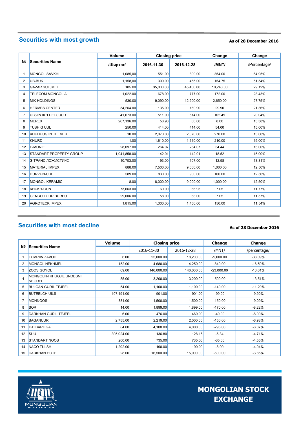# **Securities with most growth**

### **As of 28 December 2016**

|                |                           | Volume<br><b>Closing price</b> |            |            | Change    | Change       |
|----------------|---------------------------|--------------------------------|------------|------------|-----------|--------------|
| N <sub>2</sub> | <b>Securities Name</b>    | /Ширхэг/                       | 2016-11-30 | 2016-12-28 | /MNT/     | /Percentage/ |
| 1              | <b>MONGOL SAVKHI</b>      | 1,085,00                       | 551.00     | 899.00     | 354.00    | 64.95%       |
| $\overline{2}$ | UB-BUK                    | 1.158.00                       | 300.00     | 455.00     | 154.75    | 51.54%       |
| 3              | <b>GAZAR SULJMEL</b>      | 185.00                         | 35,000.00  | 45,400.00  | 10,240.00 | 29.12%       |
| 4              | <b>TELECOM MONGOLIA</b>   | 1,022.00                       | 678.00     | 777.00     | 172.00    | 28.43%       |
| 5              | <b>MIK HOLDINGS</b>       | 530.00                         | 9,090.00   | 12,200.00  | 2,650.00  | 27.75%       |
| 6              | <b>HERMES CENTER</b>      | 34,264.00                      | 135.00     | 169.90     | 29.90     | 21.36%       |
| 7              | <b>ULSIIN IKH DELGUUR</b> | 41.673.00                      | 511.00     | 614.00     | 102.49    | 20.04%       |
| 8              | <b>MEREX</b>              | 267,136.00                     | 58.90      | 60.00      | 8.00      | 15.38%       |
| 9              | <b>TUSHIG UUL</b>         | 250.00                         | 414.00     | 414.00     | 54.00     | 15.00%       |
| 10             | KHUDUUGIIN TEEVER         | 10.00                          | 2,070.00   | 2,070.00   | 270.00    | 15.00%       |
| 11             | <b>KHURD</b>              | 1.00                           | 1,610.00   | 1,610.00   | 210.00    | 15.00%       |
| 12             | <b>E-MONIE</b>            | 28,097.00                      | 264.07     | 264.07     | 34.44     | 15.00%       |
| 13             | STANDART PROPERTY GROUP   | 1,041,858.00                   | 142.01     | 142.01     | 18.52     | 15.00%       |
| 14             | Э-ТРАНС ЛОЖИСТИКС         | 10,703.00                      | 93.00      | 107.00     | 12.98     | 13.81%       |
| 15             | <b>MATERIAL IMPEX</b>     | 888.00                         | 7,500.00   | 9,000.00   | 1,000.00  | 12.50%       |
| 16             | <b>DURVUN-UUL</b>         | 589.00                         | 830.00     | 900.00     | 100.00    | 12.50%       |
| 17             | <b>MONGOL KERAMIC</b>     | 8.00                           | 8,000.00   | 9.000.00   | 1,000.00  | 12.50%       |
| 18             | <b>KHUKH-GUN</b>          | 73,663.00                      | 60.00      | 66.95      | 7.05      | 11.77%       |
| 19             | <b>GENCO TOUR BUREU</b>   | 29,006.00                      | 58.00      | 68.00      | 7.05      | 11.57%       |
| 20             | <b>AGROTECK IMPEX</b>     | 1,815.00                       | 1,300.00   | 1,450.00   | 150.00    | 11.54%       |

# **Securities with most decline**

### **As of 28 December 2016**

|    |                                             | <b>Volume</b> | <b>Closing price</b> |            | Change       | Change       |
|----|---------------------------------------------|---------------|----------------------|------------|--------------|--------------|
| Nº | <b>Securities Name</b>                      |               | 2016-11-30           | 2016-12-28 | /MNT/        | /percentage/ |
| 1  | <b>TUMRIIN ZAVOD</b>                        | 6.00          | 25,000.00            | 18,200.00  | $-9,000.00$  | $-33.09%$    |
| 2  | <b>MONGOL NEKHMEL</b>                       | 152.00        | 4 680.00             | 4,250.00   | $-840.00$    | $-16.50\%$   |
| 3  | ZOOS GOYOL                                  | 69.00         | 146,000.00           | 146,000.00 | $-23,000.00$ | $-13.61%$    |
| 4  | MONGOLIIN KHUGJIL UNDESNII<br><b>NEGDEL</b> | 85.00         | 3,200.00             | 3,200.00   | $-500.00$    | $-13.51%$    |
| 5  | <b>BULGAN GURIL TEJEEL</b>                  | 54.00         | 1,100.00             | 1,100.00   | $-140.00$    | $-11.29%$    |
| 6  | <b>BUTEELCH UILS</b>                        | 107,491.00    | 901.00               | 901.00     | $-99.00$     | $-9.90%$     |
| 7  | <b>MONNOOS</b>                              | 381.00        | 1,500.00             | 1,500.00   | $-150.00$    | $-9.09%$     |
| 8  | <b>SOR</b>                                  | 14.00         | 1,899.00             | 1,899.00   | $-170.00$    | $-8.22%$     |
| 9  | <b>DARKHAN GURIL TEJEEL</b>                 | 6.00          | 476.00               | 460.00     | $-40.00$     | $-8.00\%$    |
| 10 | <b>BAGANUUR</b>                             | 2,755.00      | 2,219.00             | 2,000.00   | $-150.00$    | $-6.98%$     |
| 11 | <b>IKH BARILGA</b>                          | 84.00         | 4,100.00             | 4,000.00   | $-295.00$    | $-6.87%$     |
| 12 | SUU                                         | 395,024.00    | 136.80               | 128.16     | $-6.34$      | $-4.71%$     |
| 13 | <b>STANDART NOOS</b>                        | 200.00        | 735.00               | 735.00     | $-35.00$     | $-4.55%$     |
| 14 | <b>NACO TULSH</b>                           | 1,292.00      | 190.00               | 190.00     | $-8.00$      | $-4.04%$     |
| 15 | <b>DARKHAN HOTEL</b>                        | 28.00         | 16,500.00            | 15,000.00  | $-600.00$    | $-3.85%$     |

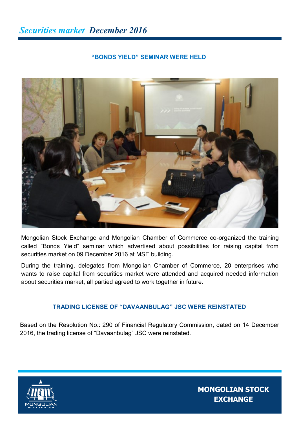# **"BONDS YIELD" SEMINAR WERE HELD**



Mongolian Stock Exchange and Mongolian Chamber of Commerce co-organized the training called "Bonds Yield" seminar which advertised about possibilities for raising capital from securities market on 09 December 2016 at MSE building.

During the training, delegates from Mongolian Chamber of Commerce, 20 enterprises who wants to raise capital from securities market were attended and acquired needed information about securities market, all partied agreed to work together in future.

## **TRADING LICENSE OF "DAVAANBULAG" JSC WERE REINSTATED**

Based on the Resolution No.: 290 of Financial Regulatory Commission, dated on 14 December 2016, the trading license of "Davaanbulag" JSC were reinstated.

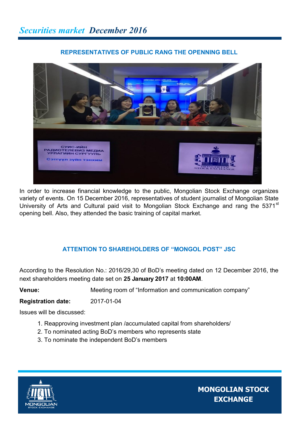# **REPRESENTATIVES OF PUBLIC RANG THE OPENNING BELL**



In order to increase financial knowledge to the public, Mongolian Stock Exchange organizes variety of events. On 15 December 2016, representatives of student journalist of Mongolian State University of Arts and Cultural paid visit to Mongolian Stock Exchange and rang the 5371<sup>st</sup> opening bell. Also, they attended the basic training of capital market.

# **ATTENTION TO SHAREHOLDERS OF "MONGOL POST" JSC**

According to the Resolution No.: 2016/29,30 of BoD's meeting dated on 12 December 2016, the next shareholders meeting date set on **25 January 2017** at **10:00AM**.

**Venue:** Meeting room of "Information and communication company"

**Registration date:** 2017-01-04

Issues will be discussed:

- 1. Reapproving investment plan /accumulated capital from shareholders/
- 2. To nominated acting BoD's members who represents state
- 3. To nominate the independent BoD's members